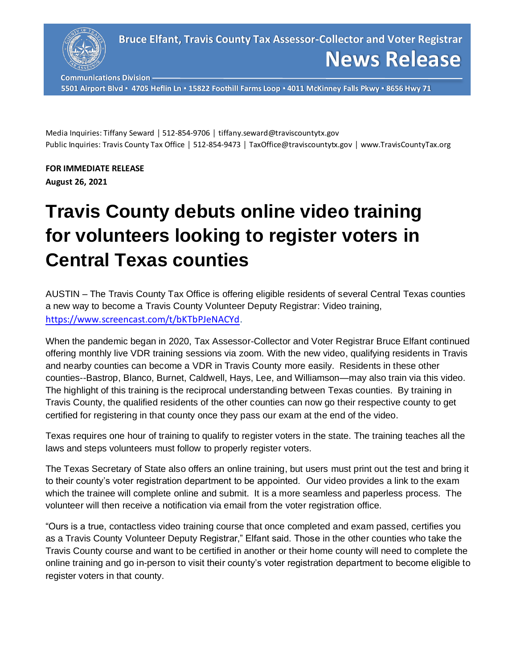

**Communications Division**

**5501 Airport Blvd ▪ 4705 Heflin Ln ▪ 15822 Foothill Farms Loop ▪ 4011 McKinney Falls Pkwy ▪ 8656 Hwy 71**

Media Inquiries: Tiffany Seward │ 512-854-9706 │ tiffany.seward@traviscountytx.gov Public Inquiries: Travis County Tax Office | 512-854-9473 | TaxOffice@traviscountytx.gov | www.TravisCountyTax.org

**FOR IMMEDIATE RELEASE August 26, 2021**

## **Travis County debuts online video training for volunteers looking to register voters in Central Texas counties**

AUSTIN – The Travis County Tax Office is offering eligible residents of several Central Texas counties a new way to become a Travis County Volunteer Deputy Registrar: Video training, [https://www.screencast.com/t/bKTbPJeNACYd.](https://www.screencast.com/t/bKTbPJeNACYd)

When the pandemic began in 2020, Tax Assessor-Collector and Voter Registrar Bruce Elfant continued offering monthly live VDR training sessions via zoom. With the new video, qualifying residents in Travis and nearby counties can become a VDR in Travis County more easily. Residents in these other counties--Bastrop, Blanco, Burnet, Caldwell, Hays, Lee, and Williamson—may also train via this video. The highlight of this training is the reciprocal understanding between Texas counties. By training in Travis County, the qualified residents of the other counties can now go their respective county to get certified for registering in that county once they pass our exam at the end of the video.

Texas requires one hour of training to qualify to register voters in the state. The training teaches all the laws and steps volunteers must follow to properly register voters.

The Texas Secretary of State also offers an online training, but users must print out the test and bring it to their county's voter registration department to be appointed. Our video provides a link to the exam which the trainee will complete online and submit. It is a more seamless and paperless process. The volunteer will then receive a notification via email from the voter registration office.

"Ours is a true, contactless video training course that once completed and exam passed, certifies you as a Travis County Volunteer Deputy Registrar," Elfant said. Those in the other counties who take the Travis County course and want to be certified in another or their home county will need to complete the online training and go in-person to visit their county's voter registration department to become eligible to register voters in that county.